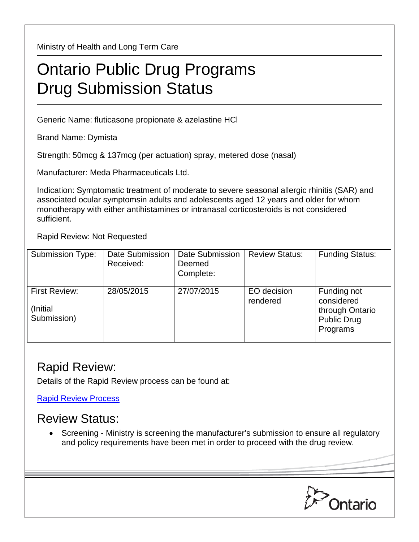Ministry of Health and Long Term Care

## Ontario Public Drug Programs Drug Submission Status

Generic Name: fluticasone propionate & azelastine HCl

Brand Name: Dymista

Strength: 50mcg & 137mcg (per actuation) spray, metered dose (nasal)

Manufacturer: Meda Pharmaceuticals Ltd.

Indication: Symptomatic treatment of moderate to severe seasonal allergic rhinitis (SAR) and associated ocular symptomsin adults and adolescents aged 12 years and older for whom monotherapy with either antihistamines or intranasal corticosteroids is not considered sufficient.

Rapid Review: Not Requested

| <b>Submission Type:</b>                          | <b>Date Submission</b><br>Received: | Date Submission<br>Deemed<br>Complete: | <b>Review Status:</b>   | <b>Funding Status:</b>                                                         |
|--------------------------------------------------|-------------------------------------|----------------------------------------|-------------------------|--------------------------------------------------------------------------------|
| <b>First Review:</b><br>(Initial)<br>Submission) | 28/05/2015                          | 27/07/2015                             | EO decision<br>rendered | Funding not<br>considered<br>through Ontario<br><b>Public Drug</b><br>Programs |

## Rapid Review:

Details of the Rapid Review process can be found at:

[Rapid Review Process](http://www.health.gov.on.ca/en/pro/programs/drugs/drug_submissions/rapid_review_process.aspx)

## Review Status:

• Screening - Ministry is screening the manufacturer's submission to ensure all regulatory and policy requirements have been met in order to proceed with the drug review.